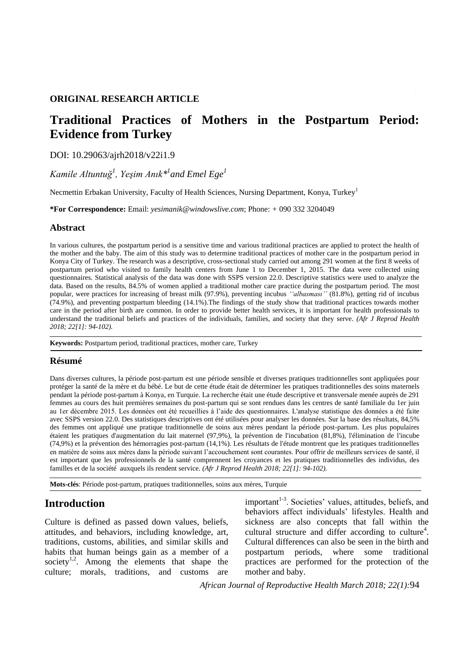#### **ORIGINAL RESEARCH ARTICLE**

# **Traditional Practices of Mothers in the Postpartum Period: Evidence from Turkey**

#### DOI: 10.29063/ajrh2018/v22i1.9

*Kamile Altuntuğ<sup>1</sup> , Yeşim Anık\*<sup>1</sup> and Emel Ege<sup>1</sup>*

Necmettin Erbakan University, Faculty of Health Sciences, Nursing Department, Konya, Turkey<sup>1</sup>

**\*For Correspondence:** Email: *yesimanik@windowslive.com*; Phone: *+* 090 332 3204049

#### **Abstract**

In various cultures, the postpartum period is a sensitive time and various traditional practices are applied to protect the health of the mother and the baby. The aim of this study was to determine traditional practices of mother care in the postpartum period in Konya City of Turkey. The research was a descriptive, cross-sectional study carried out among 291 women at the first 8 weeks of postpartum period who visited to family health centers from June 1 to December 1, 2015. The data were collected using questionnaires. Statistical analysis of the data was done with SSPS version 22.0. Descriptive statistics were used to analyze the data. Based on the results, 84.5% of women applied a traditional mother care practice during the postpartum period. The most popular, were practices for increasing of breast milk (97.9%), preventing incubus *""albasması""* (81.8%), getting rid of incubus (74.9%), and preventing postpartum bleeding (14.1%).The findings of the study show that traditional practices towards mother care in the period after birth are common. In order to provide better health services, it is important for health professionals to understand the traditional beliefs and practices of the individuals, families, and society that they serve. *(Afr J Reprod Health 2018; 22[1]: 94-102).*

**Keywords:** Postpartum period, traditional practices, mother care, Turkey

#### **Résumé**

Dans diverses cultures, la période post-partum est une période sensible et diverses pratiques traditionnelles sont appliquées pour protéger la santé de la mère et du bébé. Le but de cette étude était de déterminer les pratiques traditionnelles des soins maternels pendant la période post-partum à Konya, en Turquie. La recherche était une étude descriptive et transversale menée auprès de 291 femmes au cours des huit premières semaines du post-partum qui se sont rendues dans les centres de santé familiale du 1er juin au 1er décembre 2015. Les données ont été recueillies à l'aide des questionnaires. L'analyse statistique des données a été faite avec SSPS version 22.0. Des statistiques descriptives ont été utilisées pour analyser les données. Sur la base des résultats, 84,5% des femmes ont appliqué une pratique traditionnelle de soins aux mères pendant la période post-partum. Les plus populaires étaient les pratiques d'augmentation du lait maternel (97,9%), la prévention de l'incubation (81,8%), l'élimination de l'incube (74,9%) et la prévention des hémorragies post-partum (14,1%). Les résultats de l'étude montrent que les pratiques traditionnelles en matière de soins aux mères dans la période suivant l'accouchement sont courantes. Pour offrir de meilleurs services de santé, il est important que les professionnels de la santé comprennent les croyances et les pratiques traditionnelles des individus, des familles et de la société auxquels ils rendent service. *(Afr J Reprod Health 2018; 22[1]: 94-102).*

**Mots-clés**: Période post-partum, pratiques traditionnelles, soins aux mères, Turquie

### **Introduction**

Culture is defined as passed down values, beliefs, attitudes, and behaviors, including knowledge, art, traditions, customs, abilities, and similar skills and habits that human beings gain as a member of a society<sup>1,2</sup>. Among the elements that shape the culture; morals, traditions, and customs are

important<sup>1-3</sup>. Societies' values, attitudes, beliefs, and behaviors affect individuals' lifestyles. Health and sickness are also concepts that fall within the cultural structure and differ according to culture<sup>4</sup>. Cultural differences can also be seen in the birth and postpartum periods, where some traditional practices are performed for the protection of the mother and baby.

*African Journal of Reproductive Health March 2018; 22(1):*94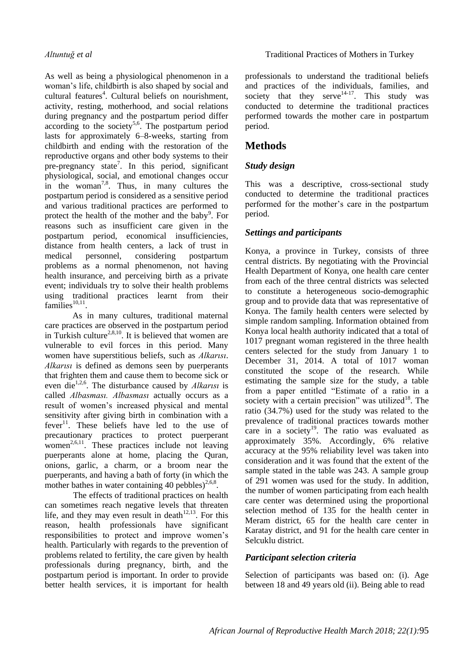As well as being a physiological phenomenon in a woman's life, childbirth is also shaped by social and cultural features $4$ . Cultural beliefs on nourishment, activity, resting, motherhood, and social relations during pregnancy and the postpartum period differ according to the society<sup>5,6</sup>. The postpartum period lasts for approximately 6–8-weeks, starting from childbirth and ending with the restoration of the reproductive organs and other body systems to their pre-pregnancy state<sup>7</sup>. In this period, significant physiological, social, and emotional changes occur in the woman<sup>7,8</sup>. Thus, in many cultures the postpartum period is considered as a sensitive period and various traditional practices are performed to protect the health of the mother and the baby<sup>9</sup>. For reasons such as insufficient care given in the postpartum period, economical insufficiencies, distance from health centers, a lack of trust in medical personnel, considering postpartum problems as a normal phenomenon, not having health insurance, and perceiving birth as a private event; individuals try to solve their health problems using traditional practices learnt from their families $^{10,11}$ .

As in many cultures, traditional maternal care practices are observed in the postpartum period in Turkish culture<sup>2,8,10</sup>. It is believed that women are vulnerable to evil forces in this period. Many women have superstitious beliefs, such as *Alkarısı*. *Alkarısı* is defined as demons seen by puerperants that frighten them and cause them to become sick or even die<sup>1,2,6</sup>. The disturbance caused by *Alkarısı* is called *Albasması. Albasması* actually occurs as a result of women's increased physical and mental sensitivity after giving birth in combination with a  $fever<sup>11</sup>$ . These beliefs have led to the use of precautionary practices to protect puerperant women<sup>2,6,11</sup>. These practices include not leaving puerperants alone at home, placing the Quran, onions, garlic, a charm, or a broom near the puerperants, and having a bath of forty (in which the mother bathes in water containing 40 pebbles) $^{2,6,8}$ .

The effects of traditional practices on health can sometimes reach negative levels that threaten life, and they may even result in death $12,13$ . For this reason, health professionals have significant responsibilities to protect and improve women's health. Particularly with regards to the prevention of problems related to fertility, the care given by health professionals during pregnancy, birth, and the postpartum period is important. In order to provide better health services, it is important for health professionals to understand the traditional beliefs and practices of the individuals, families, and society that they serve<sup>14-17</sup>. This study was conducted to determine the traditional practices performed towards the mother care in postpartum period.

# **Methods**

## *Study design*

This was a descriptive, cross-sectional study conducted to determine the traditional practices performed for the mother's care in the postpartum period.

## *Settings and participants*

Konya, a province in Turkey, consists of three central districts. By negotiating with the Provincial Health Department of Konya, one health care center from each of the three central districts was selected to constitute a heterogeneous socio-demographic group and to provide data that was representative of Konya. The family health centers were selected by simple random sampling. Information obtained from Konya local health authority indicated that a total of 1017 pregnant woman registered in the three health centers selected for the study from January 1 to December 31, 2014. A total of 1017 woman constituted the scope of the research. While estimating the sample size for the study, a table from a paper entitled "Estimate of a ratio in a society with a certain precision" was utilized $18$ . The ratio (34.7%) used for the study was related to the prevalence of traditional practices towards mother care in a society<sup>19</sup>. The ratio was evaluated as approximately 35%. Accordingly, 6% relative accuracy at the 95% reliability level was taken into consideration and it was found that the extent of the sample stated in the table was 243. A sample group of 291 women was used for the study. In addition, the number of women participating from each health care center was determined using the proportional selection method of 135 for the health center in Meram district, 65 for the health care center in Karatay district, and 91 for the health care center in Selcuklu district.

### *Participant selection criteria*

Selection of participants was based on: (i). Age between 18 and 49 years old (ii). Being able to read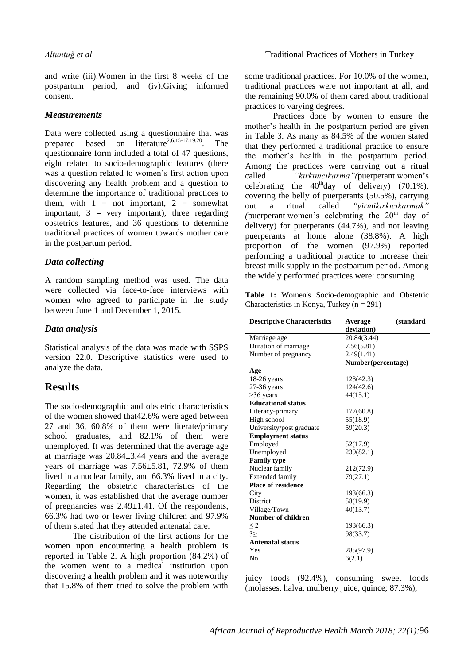and write (iii).Women in the first 8 weeks of the postpartum period, and (iv).Giving informed consent.

#### *Measurements*

Data were collected using a questionnaire that was prepared based on literature<sup>2,6,15-17,19,20</sup>. The questionnaire form included a total of 47 questions, eight related to socio-demographic features (there was a question related to women's first action upon discovering any health problem and a question to determine the importance of traditional practices to them, with  $1 = not important$ ,  $2 = somewhat$ important,  $3 = \text{very important}$ , three regarding obstetrics features, and 36 questions to determine traditional practices of women towards mother care in the postpartum period.

### *Data collecting*

A random sampling method was used. The data were collected via face-to-face interviews with women who agreed to participate in the study between June 1 and December 1, 2015.

### *Data analysis*

Statistical analysis of the data was made with SSPS version 22.0. Descriptive statistics were used to analyze the data.

## **Results**

The socio-demographic and obstetric characteristics of the women showed that42.6% were aged between 27 and 36, 60.8% of them were literate/primary school graduates, and 82.1% of them were unemployed. It was determined that the average age at marriage was 20.84±3.44 years and the average years of marriage was 7.56±5.81, 72.9% of them lived in a nuclear family, and 66.3% lived in a city. Regarding the obstetric characteristics of the women, it was established that the average number of pregnancies was 2.49±1.41. Of the respondents, 66.3% had two or fewer living children and 97.9% of them stated that they attended antenatal care.

The distribution of the first actions for the women upon encountering a health problem is reported in Table 2. A high proportion (84.2%) of the women went to a medical institution upon discovering a health problem and it was noteworthy that 15.8% of them tried to solve the problem with some traditional practices. For 10.0% of the women, traditional practices were not important at all, and the remaining 90.0% of them cared about traditional practices to varying degrees.

Practices done by women to ensure the mother's health in the postpartum period are given in Table 3. As many as 84.5% of the women stated that they performed a traditional practice to ensure the mother's health in the postpartum period. Among the practices were carrying out a ritual called *"kırkınıcıkarma"(*puerperant women's celebrating the  $40<sup>th</sup>$ day of delivery) (70.1%), covering the belly of puerperants (50.5%), carrying out a ritual called *"yirmikırkıcıkarmak"*  (puerperant women's celebrating the  $20<sup>th</sup>$  day of delivery) for puerperants (44.7%), and not leaving puerperants at home alone (38.8%). A high proportion of the women (97.9%) reported performing a traditional practice to increase their breast milk supply in the postpartum period. Among the widely performed practices were: consuming

**Table 1:** Women's Socio-demographic and Obstetric Characteristics in Konya, Turkey ( $n = 291$ )

| <b>Descriptive Characteristics</b> | Average            | (standard |
|------------------------------------|--------------------|-----------|
|                                    | deviation)         |           |
| Marriage age                       | 20.84(3.44)        |           |
| Duration of marriage               | 7.56(5.81)         |           |
| Number of pregnancy                | 2.49(1.41)         |           |
|                                    | Number(percentage) |           |
| Age                                |                    |           |
| $18-26$ years                      | 123(42.3)          |           |
| 27-36 years                        | 124(42.6)          |           |
| $>36$ years                        | 44(15.1)           |           |
| <b>Educational status</b>          |                    |           |
| Literacy-primary                   | 177(60.8)          |           |
| High school                        | 55(18.9)           |           |
| University/post graduate           | 59(20.3)           |           |
| <b>Employment status</b>           |                    |           |
| Employed                           | 52(17.9)           |           |
| Unemployed                         | 239(82.1)          |           |
| <b>Family type</b>                 |                    |           |
| Nuclear family                     | 212(72.9)          |           |
| <b>Extended family</b>             | 79(27.1)           |           |
| <b>Place of residence</b>          |                    |           |
| City                               | 193(66.3)          |           |
| <b>District</b>                    | 58(19.9)           |           |
| Village/Town                       | 40(13.7)           |           |
| <b>Number of children</b>          |                    |           |
| $\leq$ 2                           | 193(66.3)          |           |
| $3 \geq$                           | 98(33.7)           |           |
| <b>Antenatal status</b>            |                    |           |
| Yes                                | 285(97.9)          |           |
| No                                 | 6(2.1)             |           |

juicy foods (92.4%), consuming sweet foods (molasses, halva, mulberry juice, quince; 87.3%),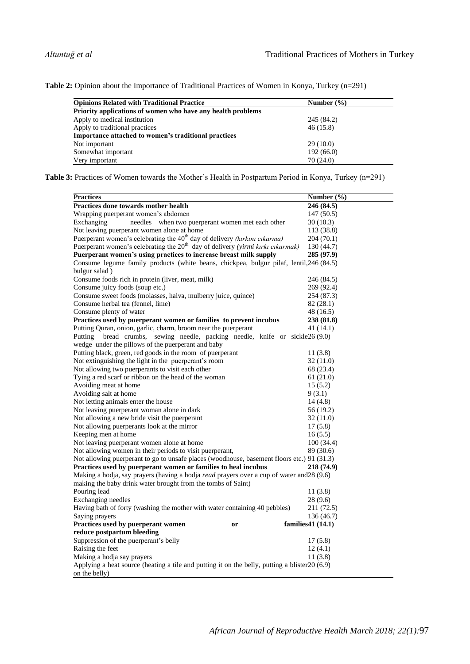Table 2: Opinion about the Importance of Traditional Practices of Women in Konya, Turkey (n=291)

| <b>Opinions Related with Traditional Practice</b>           | Number $(\% )$ |  |  |
|-------------------------------------------------------------|----------------|--|--|
| Priority applications of women who have any health problems |                |  |  |
| Apply to medical institution                                | 245 (84.2)     |  |  |
| Apply to traditional practices                              | 46(15.8)       |  |  |
| Importance attached to women's traditional practices        |                |  |  |
| Not important                                               | 29(10.0)       |  |  |
| Somewhat important                                          | 192(66.0)      |  |  |
| Very important                                              | 70(24.0)       |  |  |

Table 3: Practices of Women towards the Mother's Health in Postpartum Period in Konya, Turkey (n=291)

| <b>Practices</b>                                                                                 | Number $(\% )$    |
|--------------------------------------------------------------------------------------------------|-------------------|
| Practices done towards mother health                                                             | 246 (84.5)        |
| Wrapping puerperant women's abdomen                                                              | 147(50.5)         |
| Exchanging<br>needles when two puerperant women met each other                                   | 30(10.3)          |
| Not leaving puerperant women alone at home                                                       | 113 (38.8)        |
| Puerperant women's celebrating the 40 <sup>th</sup> day of delivery (kırkını cıkarma)            | 204 (70.1)        |
| Puerperant women's celebrating the 20 <sup>th</sup> day of delivery (yirmi kırkı cıkarmak)       | 130(44.7)         |
| Puerperant women's using practices to increase breast milk supply                                | 285 (97.9)        |
| Consume legume family products (white beans, chickpea, bulgur pilaf, lentil, 246 (84.5)          |                   |
| bulgur salad)                                                                                    |                   |
| Consume foods rich in protein (liver, meat, milk)                                                | 246 (84.5)        |
| Consume juicy foods (soup etc.)                                                                  | 269 (92.4)        |
| Consume sweet foods (molasses, halva, mulberry juice, quince)                                    | 254 (87.3)        |
| Consume herbal tea (fennel, lime)                                                                | 82 (28.1)         |
| Consume plenty of water                                                                          | 48 (16.5)         |
| Practices used by puerperant women or families to prevent incubus                                | 238 (81.8)        |
| Putting Quran, onion, garlic, charm, broom near the puerperant                                   | 41 (14.1)         |
| bread crumbs, sewing needle, packing needle, knife or sickle26 (9.0)<br>Putting                  |                   |
| wedge under the pillows of the puerperant and baby                                               |                   |
| Putting black, green, red goods in the room of puerperant                                        | 11(3.8)           |
| Not extinguishing the light in the puerperant's room                                             | 32 (11.0)         |
| Not allowing two puerperants to visit each other                                                 | 68 (23.4)         |
| Tying a red scarf or ribbon on the head of the woman                                             | 61(21.0)          |
| Avoiding meat at home                                                                            | 15(5.2)           |
| Avoiding salt at home                                                                            | 9(3.1)            |
| Not letting animals enter the house                                                              | 14(4.8)           |
| Not leaving puerperant woman alone in dark                                                       | 56 (19.2)         |
| Not allowing a new bride visit the puerperant                                                    | 32 (11.0)         |
| Not allowing puerperants look at the mirror                                                      | 17(5.8)           |
| Keeping men at home                                                                              | 16(5.5)           |
| Not leaving puerperant women alone at home                                                       | 100(34.4)         |
| Not allowing women in their periods to visit puerperant,                                         | 89 (30.6)         |
| Not allowing puerperant to go to unsafe places (woodhouse, basement floors etc.) 91 (31.3)       |                   |
| Practices used by puerperant women or families to heal incubus                                   | 218 (74.9)        |
| Making a hodja, say prayers (having a hodja <i>read</i> prayers over a cup of water and 28 (9.6) |                   |
| making the baby drink water brought from the tombs of Saint)                                     |                   |
| Pouring lead                                                                                     | 11(3.8)           |
| Exchanging needles                                                                               | 28 (9.6)          |
| Having bath of forty (washing the mother with water containing 40 pebbles)                       | 211 (72.5)        |
| Saying prayers                                                                                   | 136 (46.7)        |
| Practices used by puerperant women<br><b>or</b>                                                  | families41 (14.1) |
| reduce postpartum bleeding<br>Suppression of the puerperant's belly                              | 17(5.8)           |
| Raising the feet                                                                                 | 12(4.1)           |
| Making a hodja say prayers                                                                       | 11(3.8)           |
| Applying a heat source (heating a tile and putting it on the belly, putting a blister 20 (6.9)   |                   |
| on the belly)                                                                                    |                   |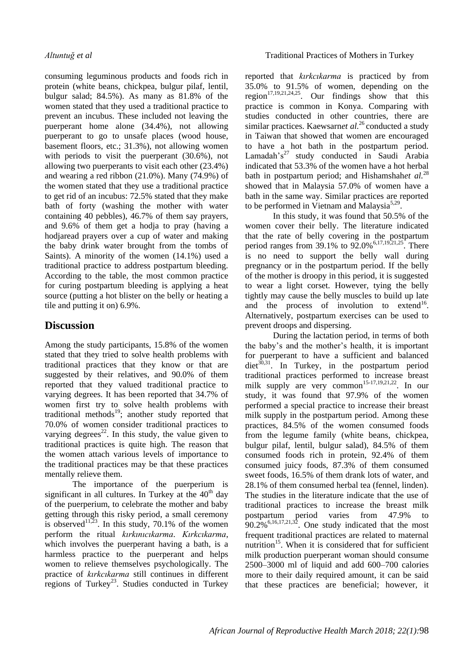consuming leguminous products and foods rich in protein (white beans, chickpea, bulgur pilaf, lentil, bulgur salad; 84.5%). As many as 81.8% of the women stated that they used a traditional practice to prevent an incubus. These included not leaving the puerperant home alone (34.4%), not allowing puerperant to go to unsafe places (wood house, basement floors, etc.; 31.3%), not allowing women with periods to visit the puerperant (30.6%), not allowing two puerperants to visit each other (23.4%) and wearing a red ribbon (21.0%). Many (74.9%) of the women stated that they use a traditional practice to get rid of an incubus: 72.5% stated that they make bath of forty (washing the mother with water containing 40 pebbles), 46.7% of them say prayers, and 9.6% of them get a hodja to pray (having a hodjaread prayers over a cup of water and making the baby drink water brought from the tombs of Saints). A minority of the women (14.1%) used a traditional practice to address postpartum bleeding. According to the table, the most common practice for curing postpartum bleeding is applying a heat source (putting a hot blister on the belly or heating a tile and putting it on) 6.9%.

# **Discussion**

Among the study participants, 15.8% of the women stated that they tried to solve health problems with traditional practices that they know or that are suggested by their relatives, and 90.0% of them reported that they valued traditional practice to varying degrees. It has been reported that 34.7% of women first try to solve health problems with traditional methods<sup>19</sup>; another study reported that 70.0% of women consider traditional practices to varying degrees<sup>22</sup>. In this study, the value given to traditional practices is quite high. The reason that the women attach various levels of importance to the traditional practices may be that these practices mentally relieve them.

The importance of the puerperium is significant in all cultures. In Turkey at the  $40<sup>th</sup>$  day of the puerperium, to celebrate the mother and baby getting through this risky period, a small ceremony is observed<sup>11,23</sup>. In this study, 70.1% of the women perform the ritual *kırkınıcıkarma*. *Kırkcıkarma*, which involves the puerperant having a bath, is a harmless practice to the puerperant and helps women to relieve themselves psychologically. The practice of *kırkcıkarma* still continues in different regions of Turkey<sup>23</sup>. Studies conducted in Turkey reported that *kırkcıkarma* is practiced by from 35.0% to 91.5% of women, depending on the region<sup>17,19,21,24,25</sup>. Our findings show that this practice is common in Konya. Comparing with studies conducted in other countries, there are similar practices. Kaewsarnet al.<sup>26</sup> conducted a study in Taiwan that showed that women are encouraged to have a hot bath in the postpartum period. Lamadah's<sup>27</sup> study conducted in Saudi Arabia indicated that 53.3% of the women have a hot herbal bath in postpartum period; and Hishamshah*et al.*<sup>28</sup> showed that in Malaysia 57.0% of women have a bath in the same way. Similar practices are reported to be performed in Vietnam and Malaysia<sup>5,29</sup>.

In this study, it was found that 50.5% of the women cover their belly. The literature indicated that the rate of belly covering in the postpartum period ranges from 39.1% to  $92.0\%$ <sup>6,17,19,21,25</sup>. There is no need to support the belly wall during pregnancy or in the postpartum period. If the belly of the mother is droopy in this period, it is suggested to wear a light corset. However, tying the belly tightly may cause the belly muscles to build up late and the process of involution to extend<sup>16</sup>. Alternatively, postpartum exercises can be used to prevent droops and dispersing.

During the lactation period, in terms of both the baby's and the mother's health, it is important for puerperant to have a sufficient and balanced  $\text{dist}^{30,31}$ . In Turkey, in the postpartum period traditional practices performed to increase breast milk supply are very common<sup>15-17,19,21,22</sup>. In our study, it was found that 97.9% of the women performed a special practice to increase their breast milk supply in the postpartum period. Among these practices, 84.5% of the women consumed foods from the legume family (white beans, chickpea, bulgur pilaf, lentil, bulgur salad), 84.5% of them consumed foods rich in protein, 92.4% of them consumed juicy foods, 87.3% of them consumed sweet foods, 16.5% of them drank lots of water, and 28.1% of them consumed herbal tea (fennel, linden). The studies in the literature indicate that the use of traditional practices to increase the breast milk postpartum period varies from 47.9% to  $90.2\%$ <sup>6,16,17,21,32</sup>. One study indicated that the most frequent traditional practices are related to maternal nutrition<sup>15</sup>. When it is considered that for sufficient milk production puerperant woman should consume 2500–3000 ml of liquid and add 600–700 calories more to their daily required amount, it can be said that these practices are beneficial; however, it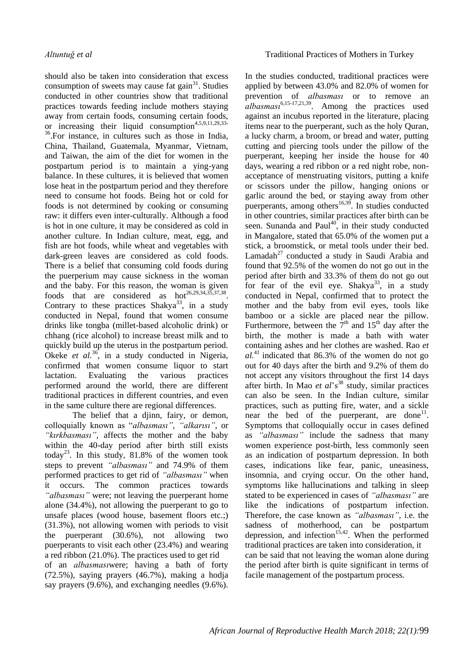should also be taken into consideration that excess consumption of sweets may cause fat gain<sup>31</sup>. Studies conducted in other countries show that traditional practices towards feeding include mothers staying away from certain foods, consuming certain foods, or increasing their liquid consumption<sup>4,5,9,11,29,33</sup> <sup>36</sup>.For instance, in cultures such as those in India, China, Thailand, Guatemala, Myanmar, Vietnam, and Taiwan, the aim of the diet for women in the postpartum period is to maintain a ying-yang balance. In these cultures, it is believed that women lose heat in the postpartum period and they therefore need to consume hot foods. Being hot or cold for foods is not determined by cooking or consuming raw: it differs even inter-culturally. Although a food is hot in one culture, it may be considered as cold in another culture. In Indian culture, meat, egg, and fish are hot foods, while wheat and vegetables with dark-green leaves are considered as cold foods. There is a belief that consuming cold foods during the puerperium may cause sickness in the woman and the baby. For this reason, the woman is given foods that are considered as  $hot^{26,29,34,35,37,38}$ . Contrary to these practices Shakya<sup>33</sup>, in a study conducted in Nepal, found that women consume drinks like tongba (millet-based alcoholic drink) or chhang (rice alcohol) to increase breast milk and to quickly build up the uterus in the postpartum period. Okeke *et al.*<sup>36</sup>, in a study conducted in Nigeria, confirmed that women consume liquor to start lactation. Evaluating the various practices performed around the world, there are different traditional practices in different countries, and even in the same culture there are regional differences.

The belief that a djinn, fairy, or demon, colloquially known as "albasması", "alkarısı", or *"kırkbasması"*, affects the mother and the baby within the 40-day period after birth still exists today<sup>23</sup>. In this study,  $81.8\%$  of the women took steps to prevent *"albasması"* and 74.9% of them performed practices to get rid of *"albasması"* when it occurs. The common practices towards *"albasması"* were; not leaving the puerperant home alone (34.4%), not allowing the puerperant to go to unsafe places (wood house, basement floors etc.;) (31.3%), not allowing women with periods to visit the puerperant (30.6%), not allowing two puerperants to visit each other (23.4%) and wearing a red ribbon (21.0%). The practices used to get rid of an *albasması*were; having a bath of forty (72.5%), saying prayers (46.7%), making a hodja say prayers (9.6%), and exchanging needles (9.6%).

In the studies conducted, traditional practices were applied by between 43.0% and 82.0% of women for prevention of *albasması* or to remove an *albasması*6,15-17,21,39. Among the practices used against an incubus reported in the literature, placing items near to the puerperant, such as the holy Quran, a lucky charm, a broom, or bread and water, putting cutting and piercing tools under the pillow of the puerperant, keeping her inside the house for 40 days, wearing a red ribbon or a red night robe, nonacceptance of menstruating visitors, putting a knife or scissors under the pillow, hanging onions or garlic around the bed, or staying away from other puerperants, among others<sup>16,39</sup>. In studies conducted in other countries, similar practices after birth can be seen. Sunanda and Paul<sup>40</sup>, in their study conducted in Mangalore, stated that 65.0% of the women put a stick, a broomstick, or metal tools under their bed. Lamadah $^{27}$  conducted a study in Saudi Arabia and found that 92.5% of the women do not go out in the period after birth and 33.3% of them do not go out for fear of the evil eye. Shakya<sup>33</sup>, in a study conducted in Nepal, confirmed that to protect the mother and the baby from evil eyes, tools like bamboo or a sickle are placed near the pillow. Furthermore, between the  $7<sup>th</sup>$  and 15<sup>th</sup> day after the birth, the mother is made a bath with water containing ashes and her clothes are washed. Rao *et*   $al^{41}$  indicated that 86.3% of the women do not go out for 40 days after the birth and 9.2% of them do not accept any visitors throughout the first 14 days after birth. In Mao *et al's*<sup>38</sup> study, similar practices can also be seen. In the Indian culture, similar practices, such as putting fire, water, and a sickle near the bed of the puerperant, are done<sup>11</sup>. Symptoms that colloquially occur in cases defined as *"albasması"* include the sadness that many women experience post-birth, less commonly seen as an indication of postpartum depression. In both cases, indications like fear, panic, uneasiness, insomnia, and crying occur. On the other hand, symptoms like hallucinations and talking in sleep stated to be experienced in cases of *"albasması"* are like the indications of postpartum infection. Therefore, the case known as *"albasması"*, i.e. the sadness of motherhood, can be postpartum depression, and infection<sup>15,42</sup>. When the performed traditional practices are taken into consideration, it can be said that not leaving the woman alone during the period after birth is quite significant in terms of facile management of the postpartum process.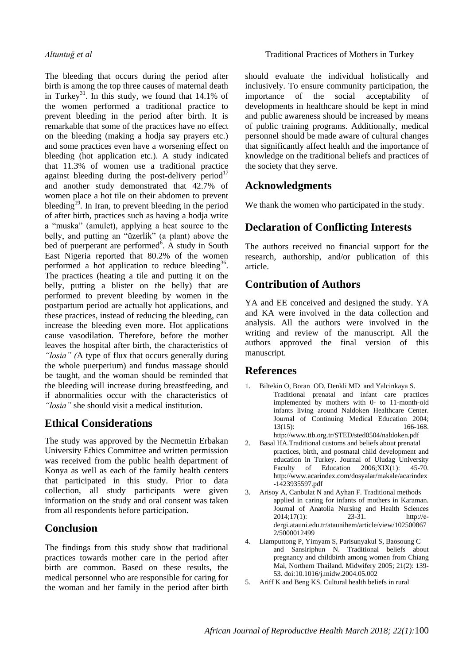The bleeding that occurs during the period after birth is among the top three causes of maternal death in Turkey<sup>31</sup>. In this study, we found that  $14.1\%$  of the women performed a traditional practice to prevent bleeding in the period after birth. It is remarkable that some of the practices have no effect on the bleeding (making a hodja say prayers etc.) and some practices even have a worsening effect on bleeding (hot application etc.). A study indicated that 11.3% of women use a traditional practice against bleeding during the post-delivery period<sup>17</sup> and another study demonstrated that 42.7% of women place a hot tile on their abdomen to prevent bleeding<sup>19</sup>. In Iran, to prevent bleeding in the period of after birth, practices such as having a hodja write a "muska" (amulet), applying a heat source to the belly, and putting an "üzerlik" (a plant) above the bed of puerperant are performed<sup>6</sup>. A study in South East Nigeria reported that 80.2% of the women performed a hot application to reduce bleeding<sup>36</sup>. The practices (heating a tile and putting it on the belly, putting a blister on the belly) that are performed to prevent bleeding by women in the postpartum period are actually hot applications, and these practices, instead of reducing the bleeding, can increase the bleeding even more. Hot applications cause vasodilation. Therefore, before the mother leaves the hospital after birth, the characteristics of *"losia" (*A type of flux that occurs generally during the whole puerperium) and fundus massage should be taught, and the woman should be reminded that the bleeding will increase during breastfeeding, and if abnormalities occur with the characteristics of *"losia"* she should visit a medical institution.

# **Ethical Considerations**

The study was approved by the Necmettin Erbakan University Ethics Committee and written permission was received from the public health department of Konya as well as each of the family health centers that participated in this study. Prior to data collection, all study participants were given information on the study and oral consent was taken from all respondents before participation.

# **Conclusion**

The findings from this study show that traditional practices towards mother care in the period after birth are common. Based on these results, the medical personnel who are responsible for caring for the woman and her family in the period after birth should evaluate the individual holistically and inclusively. To ensure community participation, the importance of the social acceptability of developments in healthcare should be kept in mind and public awareness should be increased by means of public training programs. Additionally, medical personnel should be made aware of cultural changes that significantly affect health and the importance of knowledge on the traditional beliefs and practices of the society that they serve.

# **Acknowledgments**

We thank the women who participated in the study.

# **Declaration of Conflicting Interests**

The authors received no financial support for the research, authorship, and/or publication of this article.

# **Contribution of Authors**

YA and EE conceived and designed the study. YA and KA were involved in the data collection and analysis. All the authors were involved in the writing and review of the manuscript. All the authors approved the final version of this manuscript.

# **References**

- 1. Biltekin O, Boran OD, Denkli MD and Yalcinkaya S. Traditional prenatal and infant care practices implemented by mothers with 0- to 11-month-old infants living around Naldoken Healthcare Center. Journal of Continuing Medical Education 2004; 13(15): 166-168. http://www.ttb.org.tr/STED/sted0504/naldoken.pdf
- 2. Basal HA.Traditional customs and beliefs about prenatal practices, birth, and postnatal child development and education in Turkey. Journal of Uludag University Faculty of Education 2006; XIX(1): 45-70. http://www.acarindex.com/dosyalar/makale/acarindex -1423935597.pdf
- 3. Arisoy A, Canbulat N and Ayhan F. Traditional methods applied in caring for infants of mothers in Karaman. Journal of Anatolia Nursing and Health Sciences 2014;17(1): 23-31. http://edergi.atauni.edu.tr/ataunihem/article/view/102500867 2/5000012499
- 4. Liamputtong P, Yimyam S, Parisunyakul S, Baosoung C and Sansiriphun N. Traditional beliefs about pregnancy and childbirth among women from Chiang Mai, Northern Thailand. Midwifery 2005; 21(2): 139- 53. doi[:10.1016/j.midw.2004.05.002](https://doi.org/10.1016/j.midw.2004.05.002)
- 5. Ariff K and Beng KS. Cultural health beliefs in rural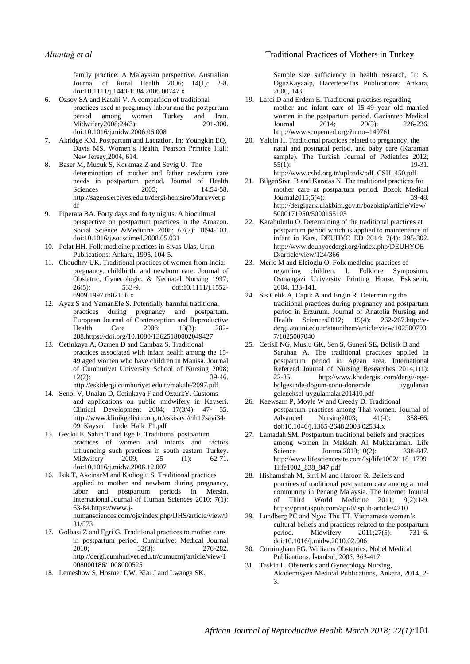family practice: A Malaysian perspective. Australian Journal of Rural Health 2006; 14(1): 2-8. doi:10.1111/j.1440-1584.2006.00747.x

- 6. Ozsoy SA and Katabi V. A comparison of traditional practices used in pregnancy labour and the postpartum<br>period among women Turkey and Iran. period among women Turkey Midwifery2008;24(3): 291-300. do[i:10.1016/j.midw.2006.06.008](https://doi.org/10.1016/j.midw.2006.06.008)
- 7. Akridge KM. Postpartum and Lactation. In: Youngkin EQ, Davis MS. Women's Health, Pearson Printice Hall: New Jersey,2004, 614.
- 8. Baser M, Mucuk S, Korkmaz Z and Sevig U. The determination of mother and father newborn care needs in postpartum period. Journal of Health Sciences 2005; 14:54-58. http://sagens.erciyes.edu.tr/dergi/hemsire/Muruvvet.p df
- 9. Piperata BA. Forty days and forty nights: A biocultural perspective on postpartum practices in the Amazon. Social Science &Medicine 2008; 67(7): 1094-103. doi:10.1016/j.socscimed.2008.05.031
- 10. Polat HH. Folk medicine practices in Sivas Ulas, Urun Publications: Ankara, 1995, 104-5.
- 11. Choudhry UK. Traditional practices of women from India: pregnancy, childbirth, and newborn care. Journal of Obstetric, Gynecologic, & Neonatal Nursing 1997; 26(5): 533-9. doi:10.1111/j.1552- 6909.1997.tb02156.x
- 12. Ayaz S and YamanEfe S. Potentially harmful traditional practices during pregnancy and postpartum. European Journal of Contraception and Reproductive Health Care 2008; 13(3): 282- 288.https://doi.org/10.1080/13625180802049427
- 13. Cetinkaya A, Ozmen D and Cambaz S. Traditional practices associated with infant health among the 15- 49 aged women who have children in Manisa. Journal of Cumhuriyet University School of Nursing 2008; 12(2): 39-46. http://eskidergi.cumhuriyet.edu.tr/makale/2097.pdf
- 14. Senol V, Unalan D, Cetinkaya F and OzturkY. Customs and applications on public midwifery in Kayseri. Clinical Development 2004; 17(3/4): 47- 55. http://www.klinikgelisim.org.tr/eskisayi/cilt17sayi34/ 09\_Kayseri\_\_linde\_Halk\_F1.pdf
- 15. Geckil E, Sahin T and Ege E. Traditional postpartum practices of women and infants and factors influencing such practices in south eastern Turkey. Midwifery 2009; 25 (1): 62-71. do[i:10.1016/j.midw.2006.12.007](https://doi.org/10.1016/j.midw.2006.12.007)
- 16. Isik T, AkcinarM and Kadioglu S. Traditional practices applied to mother and newborn during pregnancy, labor and postpartum periods in Mersin. International Journal of Human Sciences 2010; 7(1): 63-84.https://www.jhumansciences.com/ojs/index.php/IJHS/article/view/9 31/573
- 17. Golbasi Z and Egri G. Traditional practices to mother care in postpartum period. Cumhuriyet Medical Journal 2010; 32(3): 276-282. http://dergi.cumhuriyet.edu.tr/cumucmj/article/view/1 008000186/1008000525
- 18. Lemeshow S, Hosmer DW, Klar J and Lwanga SK.

#### *Altuntuğ et al* Traditional Practices of Mothers in Turkey

Sample size sufficiency in health research, In: S. OguzKayaalp, HacettepeTas Publications: Ankara, 2000, 143.

- 19. Lafci D and Erdem E. Traditional practises regarding mother and infant care of 15-49 year old married women in the postpartum period. Gaziantep Medical Journal 2014; 20(3): 226-236. http://www.scopemed.org/?mno=149761
- 20. Yalcin H. Traditional practices related to pregnancy, the natal and postnatal period, and baby care (Karaman sample). The Turkish Journal of Pediatrics 2012; 55(1): 19-31. http://www.cshd.org.tr/uploads/pdf\_CSH\_450.pdf
- 21. BilgenSivri B and Karatas N. The traditional practices for mother care at postpartum period. Bozok Medical Journal2015;5(4): 39-48. http://dergipark.ulakbim.gov.tr/bozoktip/article/view/ 5000171950/5000155103
- 22. Karabulutlu O. Determining of the traditional practices at postpartum period which is applied to maintenance of infant in Kars. DEUHYO ED 2014; 7(4): 295-302. http://www.deuhyoedergi.org/index.php/DEUHYOE D/article/view/124/366
- 23. Meric M and Elcioglu O. Folk medicine practices of regarding children. I. Folklore Symposium*.*  Osmangazi University Printing House, Eskisehir, 2004, 133-141.
- 24. Sis Celik A, Capik A and Engin R. Determining the traditional practices during pregnancy and postpartum period in Erzurum. Journal of Anatolia Nursing and Health Sciences2012; 15(4): 262-267.http://edergi.atauni.edu.tr/ataunihem/article/view/102500793 7/1025007040
- 25. Cetisli NG, Muslu GK, Sen S, Guneri SE, Bolisik B and Saruhan A. The traditional practices applied in postpartum period in Agean area. International Refereed Journal of Nursing Researches 2014;1(1):<br>22-35. http://www.khsdergisi.com/dergi//ege-22-35. http://www.khsdergisi.com/dergi//egebolgesinde-dogum-sonu-donemde uygulanan geleneksel-uygulamalar201410.pdf
- 26. Kaewsarn P, Moyle W and Creedy D. Traditional postpartum practices among Thai women. Journal of Advanced Nursing2003; 41(4): 358-66. doi:10.1046/j.1365-2648.2003.02534.x
- 27. Lamadah SM. Postpartum traditional beliefs and practices among women in Makkah Al Mukkaramah. Life Science Journal2013;10(2): 838-847. http://www.lifesciencesite.com/lsj/life1002/118\_1799 1life1002\_838\_847.pdf
- 28. Hishamshah M, Sirri M and Haroon R. Beliefs and practices of traditional postpartum care among a rural community in Penang Malaysia. The Internet Journal of Third World Medicine 2011; 9(2):1-9. https://print.ispub.com/api/0/ispub-article/4210
- 29. Lundberg PC and Ngoc Thu TT. Vietnamese women's cultural beliefs and practices related to the postpartum period. Midwifery 2011;27(5): 731–6. do[i:10.1016/j.midw.2010.02.006](https://doi.org/10.1016/j.midw.2010.02.006)
- 30. Curningham FG. Williams Obstetrics, Nobel Medical Publications, İstanbul, 2005, 363-417.
- 31. Taskin L. Obstetrics and Gynecology Nursing*,*  Akademisyen Medical Publications, Ankara*,* 2014, 2- 3.